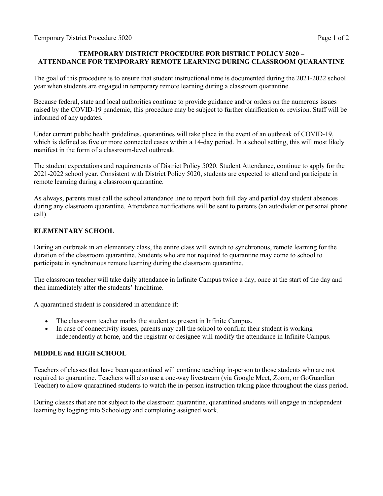## **TEMPORARY DISTRICT PROCEDURE FOR DISTRICT POLICY 5020 – ATTENDANCE FOR TEMPORARY REMOTE LEARNING DURING CLASSROOM QUARANTINE**

The goal of this procedure is to ensure that student instructional time is documented during the 2021-2022 school year when students are engaged in temporary remote learning during a classroom quarantine.

Because federal, state and local authorities continue to provide guidance and/or orders on the numerous issues raised by the COVID-19 pandemic, this procedure may be subject to further clarification or revision. Staff will be informed of any updates.

Under current public health guidelines, quarantines will take place in the event of an outbreak of COVID-19, which is defined as five or more connected cases within a 14-day period. In a school setting, this will most likely manifest in the form of a classroom-level outbreak.

The student expectations and requirements of District Policy 5020, Student Attendance, continue to apply for the 2021-2022 school year. Consistent with District Policy 5020, students are expected to attend and participate in remote learning during a classroom quarantine.

As always, parents must call the school attendance line to report both full day and partial day student absences during any classroom quarantine. Attendance notifications will be sent to parents (an autodialer or personal phone call).

## **ELEMENTARY SCHOOL**

During an outbreak in an elementary class, the entire class will switch to synchronous, remote learning for the duration of the classroom quarantine. Students who are not required to quarantine may come to school to participate in synchronous remote learning during the classroom quarantine.

The classroom teacher will take daily attendance in Infinite Campus twice a day, once at the start of the day and then immediately after the students' lunchtime.

A quarantined student is considered in attendance if:

- The classroom teacher marks the student as present in Infinite Campus.
- In case of connectivity issues, parents may call the school to confirm their student is working independently at home, and the registrar or designee will modify the attendance in Infinite Campus.

## **MIDDLE and HIGH SCHOOL**

Teachers of classes that have been quarantined will continue teaching in-person to those students who are not required to quarantine. Teachers will also use a one-way livestream (via Google Meet, Zoom, or GoGuardian Teacher) to allow quarantined students to watch the in-person instruction taking place throughout the class period.

During classes that are not subject to the classroom quarantine, quarantined students will engage in independent learning by logging into Schoology and completing assigned work.